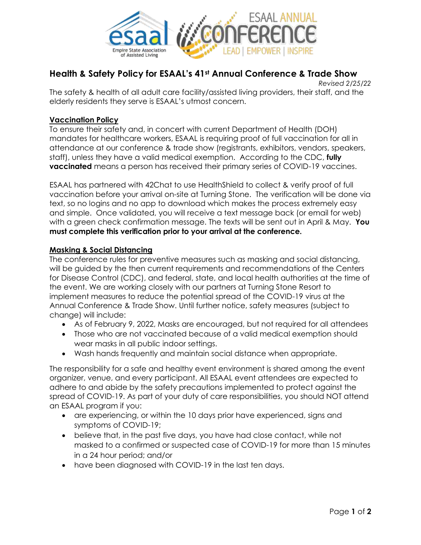

## **Health & Safety Policy for ESAAL's 41st Annual Conference & Trade Show**

*Revised 2/25/22* The safety & health of all adult care facility/assisted living providers, their staff, and the elderly residents they serve is ESAAL's utmost concern.

## **Vaccination Policy**

To ensure their safety and, in concert with current Department of Health (DOH) mandates for healthcare workers, ESAAL is requiring proof of full vaccination for all in attendance at our conference & trade show (registrants, exhibitors, vendors, speakers, staff), unless they have a valid medical exemption. According to the CDC, **fully vaccinated** means a person has received their primary series of COVID-19 vaccines.

ESAAL has partnered with 42Chat to use HealthShield to collect & verify proof of full vaccination before your arrival on-site at Turning Stone. The verification will be done via text, so no logins and no app to download which makes the process extremely easy and simple. Once validated, you will receive a text message back (or email for web) with a green check confirmation message. The texts will be sent out in April & May. **You must complete this verification prior to your arrival at the conference.**

## **Masking & Social Distancing**

The conference rules for preventive measures such as masking and social distancing, will be guided by the then current requirements and recommendations of the Centers for Disease Control (CDC), and federal, state, and local health authorities at the time of the event. We are working closely with our partners at Turning Stone Resort to implement measures to reduce the potential spread of the COVID-19 virus at the Annual Conference & Trade Show. Until further notice, safety measures (subject to change) will include:

- As of February 9, 2022, Masks are encouraged, but not required for all attendees
- Those who are not vaccinated because of a valid medical exemption should wear masks in all public indoor settings.
- Wash hands frequently and maintain social distance when appropriate.

The responsibility for a safe and healthy event environment is shared among the event organizer, venue, and every participant. All ESAAL event attendees are expected to adhere to and abide by the safety precautions implemented to protect against the spread of COVID-19. As part of your duty of care responsibilities, you should NOT attend an ESAAL program if you:

- are experiencing, or within the 10 days prior have experienced, signs and symptoms of COVID-19;
- believe that, in the past five days, you have had close contact, while not masked to a confirmed or suspected case of COVID-19 for more than 15 minutes in a 24 hour period; and/or
- have been diagnosed with COVID-19 in the last ten days.